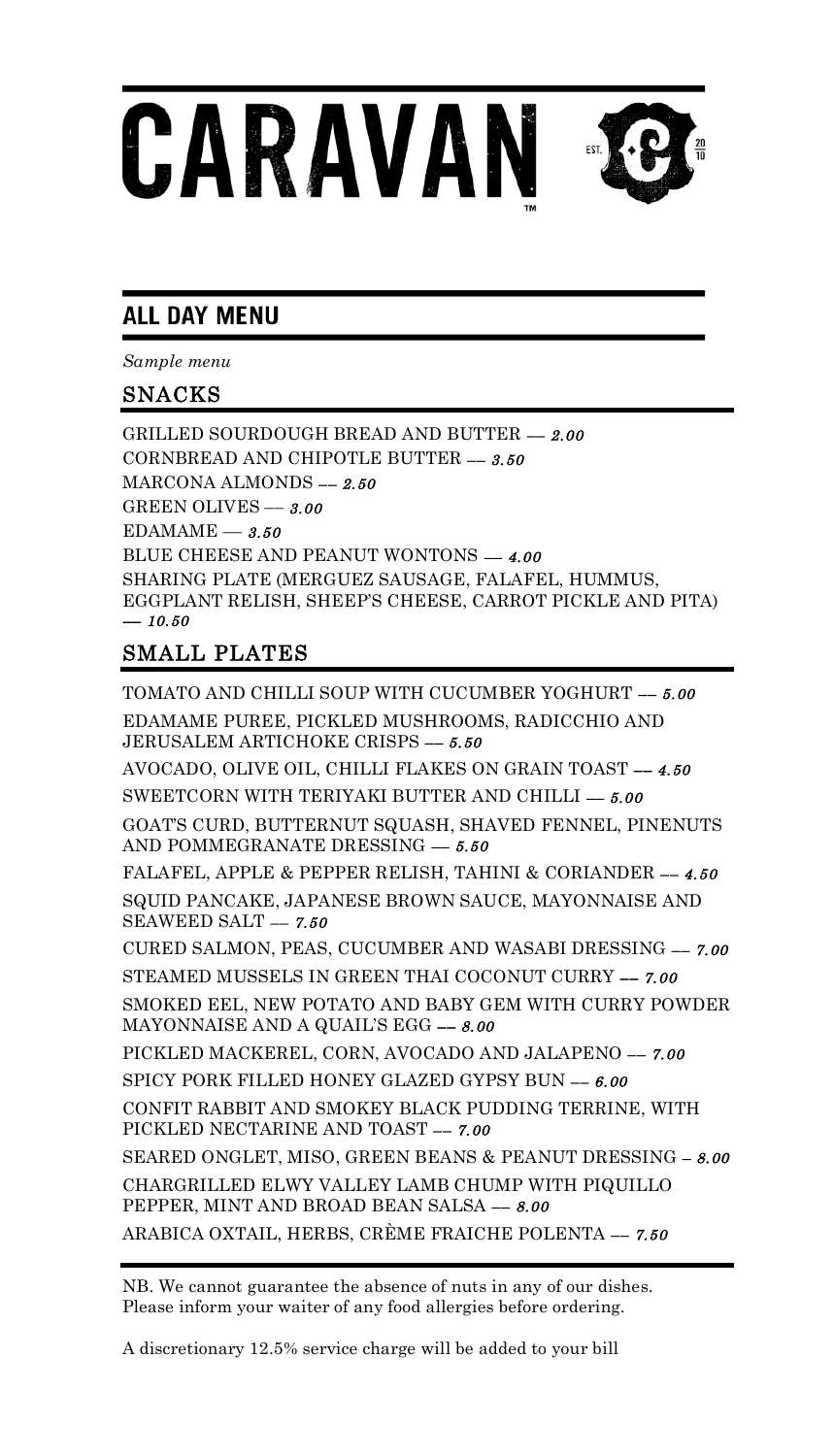# CARAVAN

# **ALL DAY MENU**

*Sample menu*

# SNACKS

GRILLED SOURDOUGH BREAD AND BUTTER –– 2.00 CORNBREAD AND CHIPOTLE BUTTER –– 3.50 MARCONA ALMONDS –– 2.50 GREEN OLIVES –– 3.00  $EDAMAME - 3.50$ BLUE CHEESE AND PEANUT WONTONS -- 4.00 SHARING PLATE (MERGUEZ SAUSAGE, FALAFEL, HUMMUS, EGGPLANT RELISH, SHEEP'S CHEESE, CARROT PICKLE AND PITA)  $-10.50$ 

# SMALL PLATES

TOMATO AND CHILLI SOUP WITH CUCUMBER YOGHURT -- 5.00 EDAMAME PUREE, PICKLED MUSHROOMS, RADICCHIO AND JERUSALEM ARTICHOKE CRISPS -- 5.50 AVOCADO, OLIVE OIL, CHILLI FLAKES ON GRAIN TOAST –– 4.50 SWEETCORN WITH TERIYAKI BUTTER AND CHILLI -- 5.00 GOAT'S CURD, BUTTERNUT SQUASH, SHAVED FENNEL, PINENUTS AND POMMEGRANATE DRESSING –– 5.50 FALAFEL, APPLE & PEPPER RELISH, TAHINI & CORIANDER -- 4.50 SQUID PANCAKE, JAPANESE BROWN SAUCE, MAYONNAISE AND SEAWEED SALT  $-7.50$ CURED SALMON, PEAS, CUCUMBER AND WASABI DRESSING –– 7.00 STEAMED MUSSELS IN GREEN THAI COCONUT CURRY –– 7.00 SMOKED EEL, NEW POTATO AND BABY GEM WITH CURRY POWDER MAYONNAISE AND A QUAIL'S EGG  $-$  8.00 PICKLED MACKEREL, CORN, AVOCADO AND JALAPENO –– 7.00 SPICY PORK FILLED HONEY GLAZED GYPSY BUN  $-6.00$ CONFIT RABBIT AND SMOKEY BLACK PUDDING TERRINE, WITH PICKLED NECTARINE AND TOAST –– 7.00 SEARED ONGLET, MISO, GREEN BEANS & PEANUT DRESSING – 8.00 CHARGRILLED ELWY VALLEY LAMB CHUMP WITH PIQUILLO PEPPER, MINT AND BROAD BEAN SALSA –– 8.00 ARABICA OXTAIL, HERBS, CRÈME FRAICHE POLENTA –– 7.50

NB. We cannot guarantee the absence of nuts in any of our dishes. Please inform your waiter of any food allergies before ordering.

A discretionary 12.5% service charge will be added to your bill